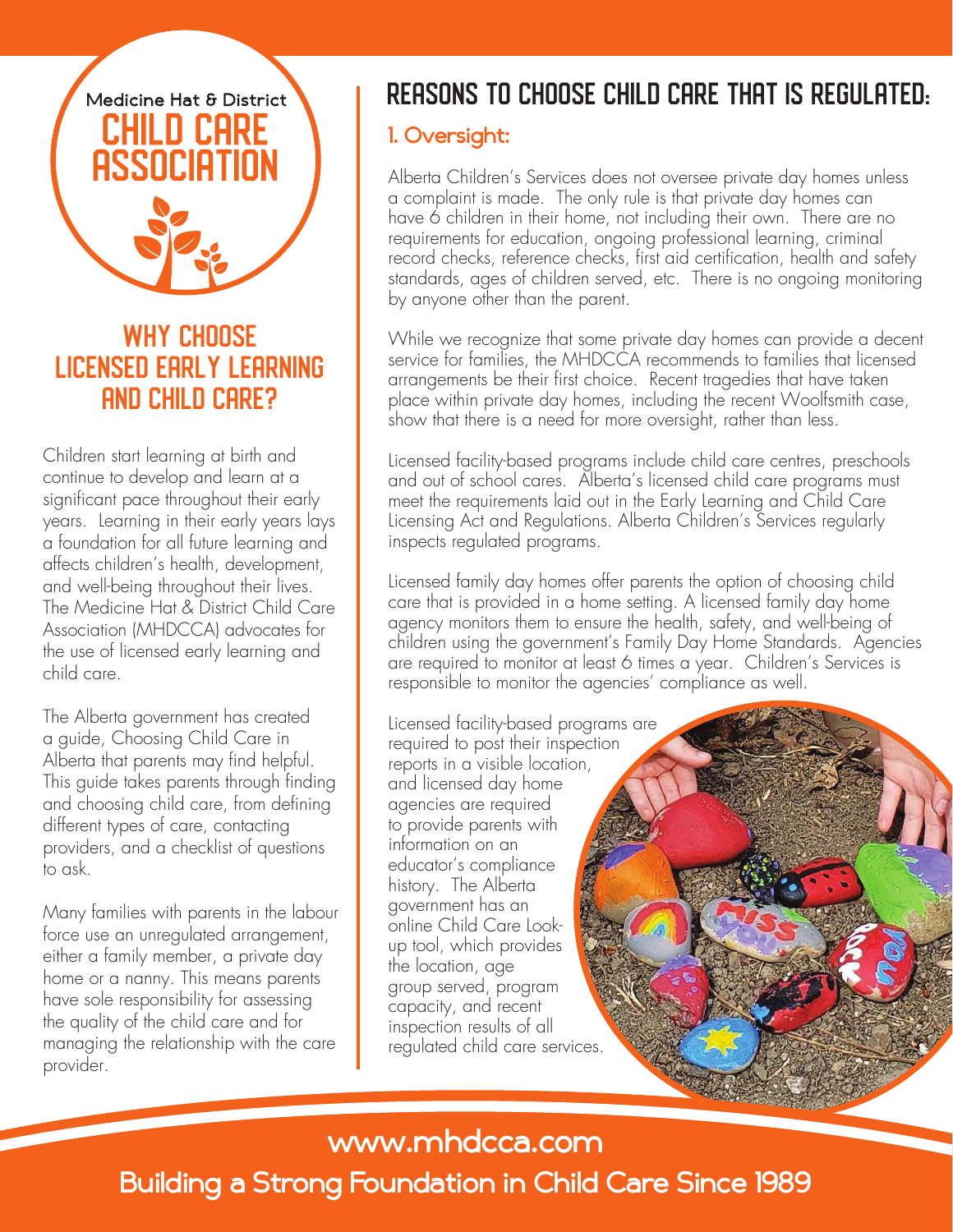# Medicine Hat & District ш

## WHY CHOOSE Licensed Early Learning and Child Care?

Children start learning at birth and continue to develop and learn at a significant pace throughout their early years. Learning in their early years lays a foundation for all future learning and affects children's health, development, and well-being throughout their lives. The Medicine Hat & District Child Care Association (MHDCCA) advocates for the use of licensed early learning and child care.

The Alberta government has created a guide, Choosing Child Care in Alberta that parents may find helpful. This guide takes parents through finding and choosing child care, from defining different types of care, contacting providers, and a checklist of questions to ask.

Many families with parents in the labour force use an unregulated arrangement, either a family member, a private day home or a nanny. This means parents have sole responsibility for assessing the quality of the child care and for managing the relationship with the care provider.

## Reasons to choose child care that is regulated:

## **1. Oversight:**

Alberta Children's Services does not oversee private day homes unless a complaint is made. The only rule is that private day homes can have 6 children in their home, not including their own. There are no requirements for education, ongoing professional learning, criminal record checks, reference checks, first aid certification, health and safety standards, ages of children served, etc. There is no ongoing monitoring by anyone other than the parent.

While we recognize that some private day homes can provide a decent service for families, the MHDCCA recommends to families that licensed arrangements be their first choice. Recent tragedies that have taken place within private day homes, including the recent Woolfsmith case, show that there is a need for more oversight, rather than less.

Licensed facility-based programs include child care centres, preschools and out of school cares. Alberta's licensed child care programs must meet the requirements laid out in the Early Learning and Child Care Licensing Act and Regulations. Alberta Children's Services regularly inspects regulated programs.

Licensed family day homes offer parents the option of choosing child care that is provided in a home setting. A licensed family day home agency monitors them to ensure the health, safety, and well-being of children using the government's Family Day Home Standards. Agencies are required to monitor at least 6 times a year. Children's Services is responsible to monitor the agencies' compliance as well.

Licensed facility-based programs are required to post their inspection reports in a visible location, and licensed day home agencies are required to provide parents with information on an educator's compliance history. The Alberta government has an online Child Care Lookup tool, which provides the location, age group served, program capacity, and recent inspection results of all regulated child care services.

## **www.mhdcca.com**

**Building a Strong Foundation in Child Care Since 1989**